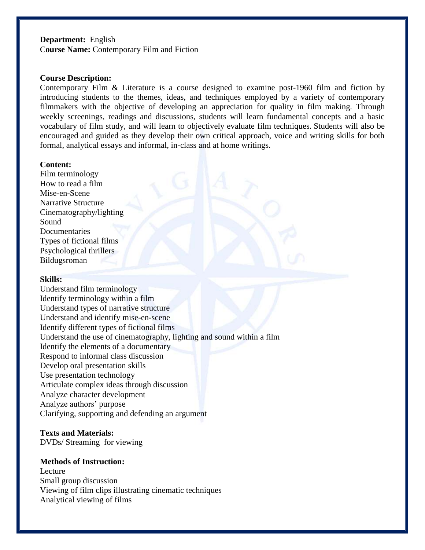## **Department:** English C**ourse Name:** Contemporary Film and Fiction

#### **Course Description:**

Contemporary Film & Literature is a course designed to examine post-1960 film and fiction by introducing students to the themes, ideas, and techniques employed by a variety of contemporary filmmakers with the objective of developing an appreciation for quality in film making. Through weekly screenings, readings and discussions, students will learn fundamental concepts and a basic vocabulary of film study, and will learn to objectively evaluate film techniques. Students will also be encouraged and guided as they develop their own critical approach, voice and writing skills for both formal, analytical essays and informal, in-class and at home writings.

### **Content:**

Film terminology How to read a film Mise-en-Scene Narrative Structure Cinematography/lighting Sound Documentaries Types of fictional films Psychological thrillers Bildugsroman

#### **Skills:**

Understand film terminology Identify terminology within a film Understand types of narrative structure Understand and identify mise-en-scene Identify different types of fictional films Understand the use of cinematography, lighting and sound within a film Identify the elements of a documentary Respond to informal class discussion Develop oral presentation skills Use presentation technology Articulate complex ideas through discussion Analyze character development Analyze authors' purpose Clarifying, supporting and defending an argument

## **Texts and Materials:**

DVDs/ Streaming for viewing

## **Methods of Instruction:**

Lecture Small group discussion Viewing of film clips illustrating cinematic techniques Analytical viewing of films